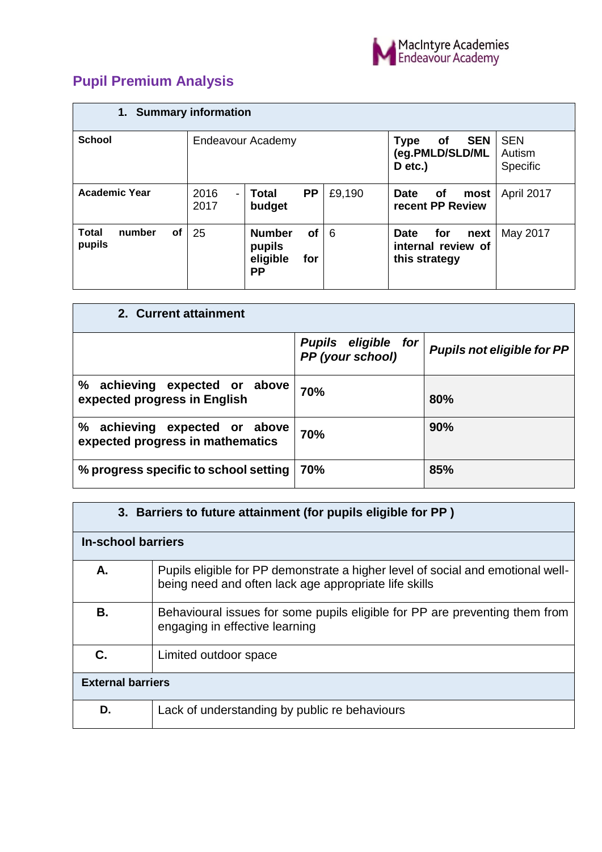

## **Pupil Premium Analysis**

| 1. Summary information                        |                                          |                                                               |        |                                                                   |                                  |  |
|-----------------------------------------------|------------------------------------------|---------------------------------------------------------------|--------|-------------------------------------------------------------------|----------------------------------|--|
| <b>School</b>                                 | Endeavour Academy                        |                                                               |        | <b>SEN</b><br>of<br><b>Type</b><br>(eg.PMLD/SLD/ML<br>D etc.)     | <b>SEN</b><br>Autism<br>Specific |  |
| <b>Academic Year</b>                          | 2016<br>$\overline{\phantom{a}}$<br>2017 | <b>PP</b><br>Total<br>budget                                  | £9,190 | <b>of</b><br><b>Date</b><br>most<br>recent PP Review              | April 2017                       |  |
| <b>Total</b><br>number<br><b>of</b><br>pupils | 25                                       | <b>Number</b><br>of<br>pupils<br>eligible<br>for<br><b>PP</b> | - 6    | for<br><b>Date</b><br>next<br>internal review of<br>this strategy | May 2017                         |  |

| 2. Current attainment                                                |                                                   |                                   |
|----------------------------------------------------------------------|---------------------------------------------------|-----------------------------------|
|                                                                      | <b>Pupils eligible</b><br>for<br>PP (your school) | <b>Pupils not eligible for PP</b> |
| ℅<br>achieving expected or above<br>expected progress in English     | 70%                                               | 80%                               |
| ℅<br>achieving expected or above<br>expected progress in mathematics | 70%                                               | 90%                               |
| % progress specific to school setting                                | 70%                                               | 85%                               |

| 3. Barriers to future attainment (for pupils eligible for PP) |                                                                                                                                          |  |  |  |  |
|---------------------------------------------------------------|------------------------------------------------------------------------------------------------------------------------------------------|--|--|--|--|
| <b>In-school barriers</b>                                     |                                                                                                                                          |  |  |  |  |
| А.                                                            | Pupils eligible for PP demonstrate a higher level of social and emotional well-<br>being need and often lack age appropriate life skills |  |  |  |  |
| В.                                                            | Behavioural issues for some pupils eligible for PP are preventing them from<br>engaging in effective learning                            |  |  |  |  |
| C.                                                            | Limited outdoor space                                                                                                                    |  |  |  |  |
| <b>External barriers</b>                                      |                                                                                                                                          |  |  |  |  |
| D.                                                            | Lack of understanding by public re behaviours                                                                                            |  |  |  |  |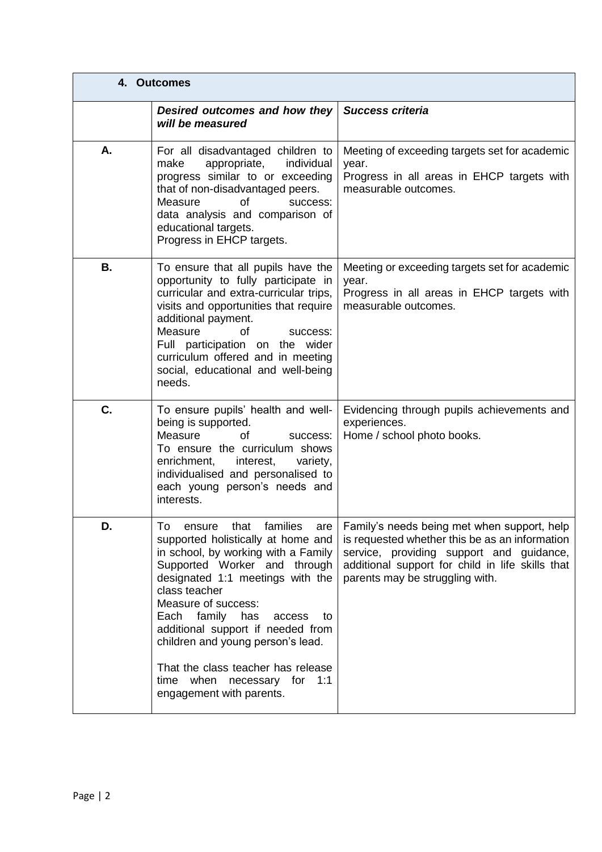|           | 4. Outcomes                                                                                                                                                                                                                                                                                                                                                                                                                        |                                                                                                                                                                                                                                  |
|-----------|------------------------------------------------------------------------------------------------------------------------------------------------------------------------------------------------------------------------------------------------------------------------------------------------------------------------------------------------------------------------------------------------------------------------------------|----------------------------------------------------------------------------------------------------------------------------------------------------------------------------------------------------------------------------------|
|           | Desired outcomes and how they<br>will be measured                                                                                                                                                                                                                                                                                                                                                                                  | <b>Success criteria</b>                                                                                                                                                                                                          |
| А.        | For all disadvantaged children to<br>appropriate,<br>individual<br>make<br>progress similar to or exceeding<br>that of non-disadvantaged peers.<br>Measure<br>οf<br>success:<br>data analysis and comparison of<br>educational targets.<br>Progress in EHCP targets.                                                                                                                                                               | Meeting of exceeding targets set for academic<br>year.<br>Progress in all areas in EHCP targets with<br>measurable outcomes.                                                                                                     |
| <b>B.</b> | To ensure that all pupils have the<br>opportunity to fully participate in<br>curricular and extra-curricular trips,<br>visits and opportunities that require<br>additional payment.<br>Measure<br>of<br>success:<br>Full participation on the wider<br>curriculum offered and in meeting<br>social, educational and well-being<br>needs.                                                                                           | Meeting or exceeding targets set for academic<br>year.<br>Progress in all areas in EHCP targets with<br>measurable outcomes.                                                                                                     |
| C.        | To ensure pupils' health and well-<br>being is supported.<br>Measure<br>0f<br>success:<br>To ensure the curriculum shows<br>enrichment,<br>interest,<br>variety,<br>individualised and personalised to<br>each young person's needs and<br>interests.                                                                                                                                                                              | Evidencing through pupils achievements and<br>experiences.<br>Home / school photo books.                                                                                                                                         |
| D.        | To ensure that families are<br>supported holistically at home and<br>in school, by working with a Family<br>Supported Worker and through<br>designated 1:1 meetings with the<br>class teacher<br>Measure of success:<br>Each family has<br>access<br>to<br>additional support if needed from<br>children and young person's lead.<br>That the class teacher has release<br>time when necessary for 1:1<br>engagement with parents. | Family's needs being met when support, help<br>is requested whether this be as an information<br>service, providing support and guidance,<br>additional support for child in life skills that<br>parents may be struggling with. |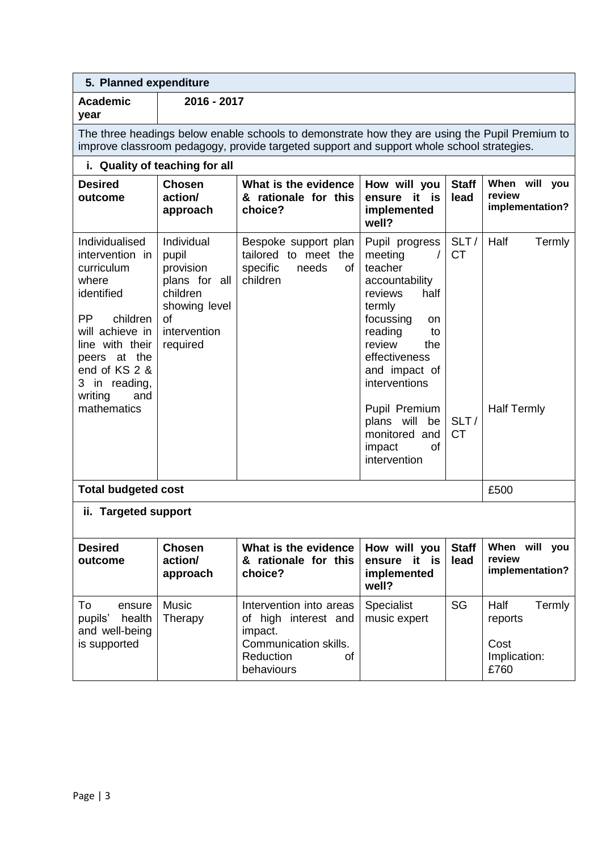| 5. Planned expenditure                                                                                                                                                                                                   |                                                                                                                         |                                                                                                                                                                                             |                                                                                                                                                                                                                                                                                               |                                        |                                                           |
|--------------------------------------------------------------------------------------------------------------------------------------------------------------------------------------------------------------------------|-------------------------------------------------------------------------------------------------------------------------|---------------------------------------------------------------------------------------------------------------------------------------------------------------------------------------------|-----------------------------------------------------------------------------------------------------------------------------------------------------------------------------------------------------------------------------------------------------------------------------------------------|----------------------------------------|-----------------------------------------------------------|
| <b>Academic</b><br>year                                                                                                                                                                                                  | 2016 - 2017                                                                                                             |                                                                                                                                                                                             |                                                                                                                                                                                                                                                                                               |                                        |                                                           |
|                                                                                                                                                                                                                          |                                                                                                                         | The three headings below enable schools to demonstrate how they are using the Pupil Premium to<br>improve classroom pedagogy, provide targeted support and support whole school strategies. |                                                                                                                                                                                                                                                                                               |                                        |                                                           |
|                                                                                                                                                                                                                          | i. Quality of teaching for all                                                                                          |                                                                                                                                                                                             |                                                                                                                                                                                                                                                                                               |                                        |                                                           |
| <b>Desired</b><br>outcome                                                                                                                                                                                                | <b>Chosen</b><br>action/<br>approach                                                                                    | What is the evidence<br>& rationale for this<br>choice?                                                                                                                                     | How will you<br>it is<br>ensure<br>implemented<br>well?                                                                                                                                                                                                                                       | <b>Staff</b><br>lead                   | When will you<br>review<br>implementation?                |
| Individualised<br>intervention in<br>curriculum<br>where<br>identified<br><b>PP</b><br>children<br>will achieve in<br>line with their<br>peers at the<br>end of KS 2 &<br>3 in reading,<br>writing<br>and<br>mathematics | Individual<br>pupil<br>provision<br>plans for all<br>children<br>showing level<br><b>of</b><br>intervention<br>required | Bespoke support plan<br>tailored to meet the<br>of<br>specific<br>needs<br>children                                                                                                         | Pupil progress<br>meeting<br>$\prime$<br>teacher<br>accountability<br>reviews<br>half<br>termly<br>focussing<br>on<br>reading<br>to<br>review<br>the<br>effectiveness<br>and impact of<br>interventions<br>Pupil Premium<br>plans will<br>be<br>monitored and<br>impact<br>οf<br>intervention | SLT/<br><b>CT</b><br>SLT/<br><b>CT</b> | Half<br>Termly<br><b>Half Termly</b>                      |
| <b>Total budgeted cost</b>                                                                                                                                                                                               |                                                                                                                         |                                                                                                                                                                                             |                                                                                                                                                                                                                                                                                               |                                        | £500                                                      |
| ii. Targeted support                                                                                                                                                                                                     |                                                                                                                         |                                                                                                                                                                                             |                                                                                                                                                                                                                                                                                               |                                        |                                                           |
| <b>Desired</b><br>outcome                                                                                                                                                                                                | <b>Chosen</b><br>action/<br>approach                                                                                    | What is the evidence<br>& rationale for this<br>choice?                                                                                                                                     | How will you<br>it is<br>ensure<br>implemented<br>well?                                                                                                                                                                                                                                       | <b>Staff</b><br>lead                   | When will you<br>review<br>implementation?                |
| To<br>ensure<br>pupils'<br>health<br>and well-being<br>is supported                                                                                                                                                      | <b>Music</b><br>Therapy                                                                                                 | Intervention into areas<br>of high interest and<br>impact.<br>Communication skills.<br>Reduction<br>οf<br>behaviours                                                                        | Specialist<br>music expert                                                                                                                                                                                                                                                                    | SG                                     | Half<br>Termly<br>reports<br>Cost<br>Implication:<br>£760 |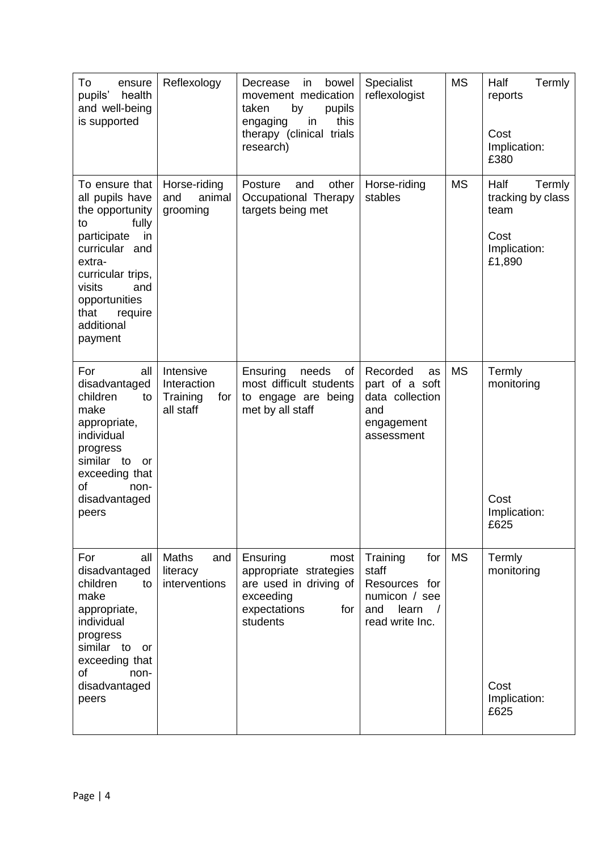| To<br>ensure<br>pupils'<br>health<br>and well-being<br>is supported                                                                                                                                                       | Reflexology                                              | bowel<br>Decrease<br>in<br>movement medication<br>taken<br>by<br>pupils<br>this<br>in<br>engaging<br>therapy (clinical trials<br>research) | Specialist<br>reflexologist                                                                   | <b>MS</b> | Half<br>Termly<br>reports<br>Cost<br>Implication:<br>£380                     |
|---------------------------------------------------------------------------------------------------------------------------------------------------------------------------------------------------------------------------|----------------------------------------------------------|--------------------------------------------------------------------------------------------------------------------------------------------|-----------------------------------------------------------------------------------------------|-----------|-------------------------------------------------------------------------------|
| To ensure that I<br>all pupils have<br>the opportunity<br>fully<br>to<br>participate<br>in<br>curricular and<br>extra-<br>curricular trips,<br>visits<br>and<br>opportunities<br>that<br>require<br>additional<br>payment | Horse-riding<br>and<br>animal<br>grooming                | other<br>Posture<br>and<br>Occupational Therapy<br>targets being met                                                                       | Horse-riding<br>stables                                                                       | <b>MS</b> | Half<br>Termly<br>tracking by class<br>team<br>Cost<br>Implication:<br>£1,890 |
| For<br>all<br>disadvantaged<br>children<br>to<br>make<br>appropriate,<br>individual<br>progress<br>similar to<br>or<br>exceeding that<br>of<br>non-<br>disadvantaged<br>peers                                             | Intensive<br>Interaction<br>Training<br>for<br>all staff | Ensuring<br>needs<br>of<br>most difficult students<br>to engage are being<br>met by all staff                                              | Recorded<br>as<br>part of a soft<br>data collection<br>and<br>engagement<br>assessment        | <b>MS</b> | Termly<br>monitoring<br>Cost<br>Implication:<br>£625                          |
| For<br>all<br>disadvantaged<br>children<br>to<br>make<br>appropriate,<br>individual<br>progress<br>similar to<br>or<br>exceeding that<br>of<br>non-<br>disadvantaged<br>peers                                             | Maths<br>and<br>literacy<br>interventions                | Ensuring<br>most<br>appropriate strategies<br>are used in driving of<br>exceeding<br>expectations<br>for<br>students                       | Training<br>for<br>staff<br>Resources for<br>numicon / see<br>and<br>learn<br>read write Inc. | <b>MS</b> | Termly<br>monitoring<br>Cost<br>Implication:<br>£625                          |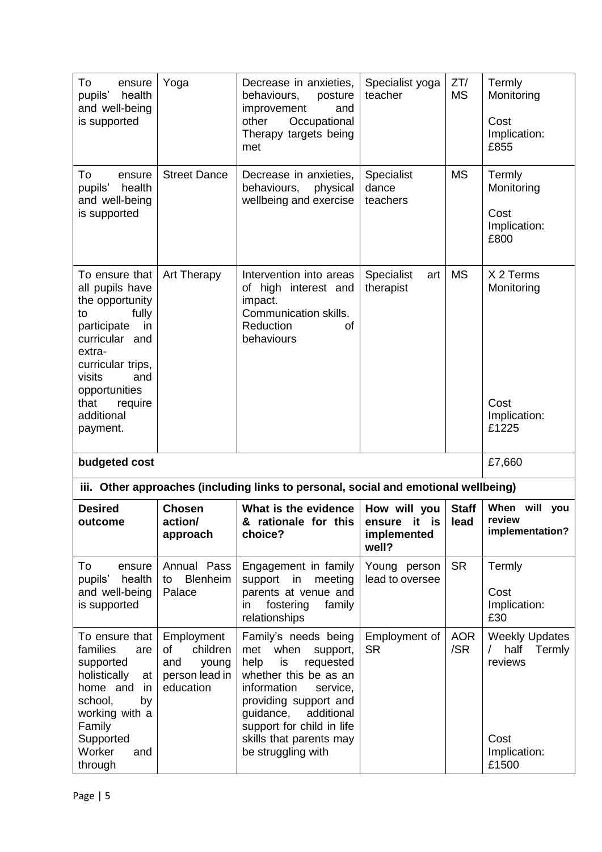| To<br>ensure<br>health<br>pupils'<br>and well-being<br>is supported                                                                                                                                                      | Yoga                                                                        | Decrease in anxieties,<br>behaviours,<br>posture<br>improvement<br>and<br>other<br>Occupational<br>Therapy targets being<br>met                                                                                                                                  | Specialist yoga<br>teacher                           | ZT/<br><b>MS</b>     | Termly<br>Monitoring<br>Cost<br>Implication:<br>£855                                |
|--------------------------------------------------------------------------------------------------------------------------------------------------------------------------------------------------------------------------|-----------------------------------------------------------------------------|------------------------------------------------------------------------------------------------------------------------------------------------------------------------------------------------------------------------------------------------------------------|------------------------------------------------------|----------------------|-------------------------------------------------------------------------------------|
| To<br>ensure<br>pupils'<br>health<br>and well-being<br>is supported                                                                                                                                                      | <b>Street Dance</b>                                                         | Decrease in anxieties,<br>behaviours,<br>physical<br>wellbeing and exercise                                                                                                                                                                                      | Specialist<br>dance<br>teachers                      | <b>MS</b>            | Termly<br>Monitoring<br>Cost<br>Implication:<br>£800                                |
| To ensure that<br>all pupils have<br>the opportunity<br>fully<br>to<br>participate<br>in<br>curricular and<br>extra-<br>curricular trips,<br>visits<br>and<br>opportunities<br>that<br>require<br>additional<br>payment. | Art Therapy                                                                 | Intervention into areas<br>of high interest and<br>impact.<br>Communication skills.<br>Reduction<br>οf<br>behaviours                                                                                                                                             | <b>Specialist</b><br>art<br>therapist                | <b>MS</b>            | X 2 Terms<br>Monitoring<br>Cost<br>Implication:<br>£1225                            |
| budgeted cost                                                                                                                                                                                                            |                                                                             |                                                                                                                                                                                                                                                                  |                                                      |                      | £7,660                                                                              |
|                                                                                                                                                                                                                          |                                                                             | iii. Other approaches (including links to personal, social and emotional wellbeing)                                                                                                                                                                              |                                                      |                      |                                                                                     |
| <b>Desired</b><br>outcome                                                                                                                                                                                                | <b>Chosen</b><br>action/<br>approach                                        | What is the evidence<br>& rationale for this<br>choice?                                                                                                                                                                                                          | How will you<br>ensure it is<br>implemented<br>well? | <b>Staff</b><br>lead | When<br>will<br>you<br>review<br>implementation?                                    |
| To<br>ensure<br>pupils'<br>health<br>and well-being<br>is supported                                                                                                                                                      | Annual Pass<br>Blenheim<br>to<br>Palace                                     | Engagement in family<br>support<br>in<br>meeting<br>parents at venue and<br>fostering<br>family<br>in<br>relationships                                                                                                                                           | Young person<br>lead to oversee                      | <b>SR</b>            | Termly<br>Cost<br>Implication:<br>£30                                               |
| To ensure that<br>families<br>are<br>supported<br>holistically<br>at<br>home and<br>in.<br>school,<br>by<br>working with a<br>Family<br>Supported<br>Worker<br>and<br>through                                            | Employment<br>children<br>οf<br>and<br>young<br>person lead in<br>education | Family's needs being<br>when<br>met<br>support,<br>help<br>is<br>requested<br>whether this be as an<br>information<br>service,<br>providing support and<br>additional<br>guidance,<br>support for child in life<br>skills that parents may<br>be struggling with | Employment of<br><b>SR</b>                           | <b>AOR</b><br>/SR    | <b>Weekly Updates</b><br>half<br>Termly<br>reviews<br>Cost<br>Implication:<br>£1500 |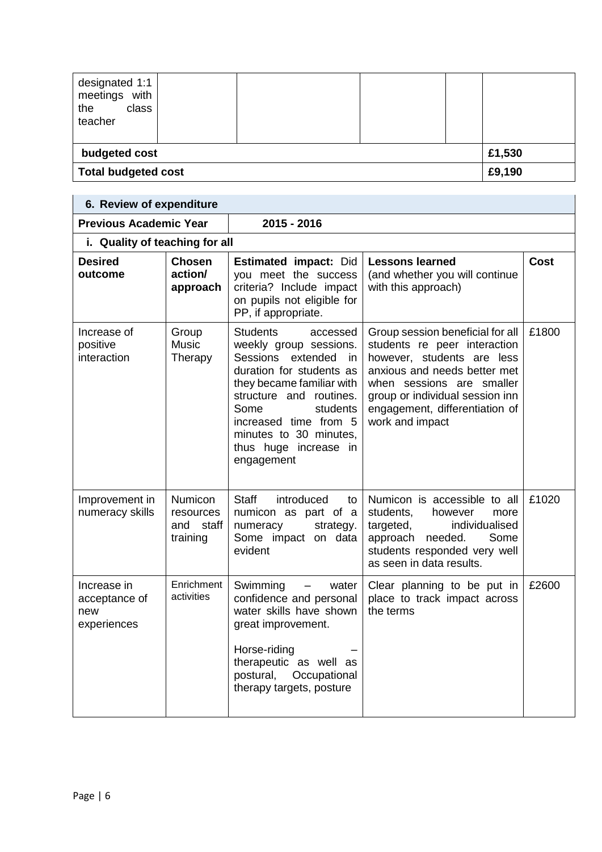| designated 1:1<br>meetings with<br>class<br>the<br>teacher |  |  |  |  |        |
|------------------------------------------------------------|--|--|--|--|--------|
| budgeted cost                                              |  |  |  |  | £1,530 |
| £9,190<br><b>Total budgeted cost</b>                       |  |  |  |  |        |

| 6. Review of expenditure                           |                                                      |                                                                                                                                                                                                                                                                                     |                                                                                                                                                                                                                                                     |       |  |  |
|----------------------------------------------------|------------------------------------------------------|-------------------------------------------------------------------------------------------------------------------------------------------------------------------------------------------------------------------------------------------------------------------------------------|-----------------------------------------------------------------------------------------------------------------------------------------------------------------------------------------------------------------------------------------------------|-------|--|--|
| <b>Previous Academic Year</b>                      |                                                      | $2015 - 2016$                                                                                                                                                                                                                                                                       |                                                                                                                                                                                                                                                     |       |  |  |
| i. Quality of teaching for all                     |                                                      |                                                                                                                                                                                                                                                                                     |                                                                                                                                                                                                                                                     |       |  |  |
| <b>Desired</b><br>outcome                          | <b>Chosen</b><br>action/<br>approach                 | <b>Estimated impact: Did</b><br>you meet the success<br>criteria? Include impact<br>on pupils not eligible for<br>PP, if appropriate.                                                                                                                                               | <b>Lessons learned</b><br>(and whether you will continue<br>with this approach)                                                                                                                                                                     | Cost  |  |  |
| Increase of<br>positive<br>interaction             | Group<br><b>Music</b><br>Therapy                     | <b>Students</b><br>accessed<br>weekly group sessions.<br>Sessions extended<br>in.<br>duration for students as<br>they became familiar with<br>structure and routines.<br>Some<br>students<br>increased time from 5<br>minutes to 30 minutes,<br>thus huge increase in<br>engagement | Group session beneficial for all<br>students re peer interaction<br>however, students are less<br>anxious and needs better met<br>when sessions are smaller<br>group or individual session inn<br>engagement, differentiation of<br>work and impact | £1800 |  |  |
| Improvement in<br>numeracy skills                  | <b>Numicon</b><br>resources<br>and staff<br>training | <b>Staff</b><br>introduced<br>to<br>numicon as part of a<br>strategy.<br>numeracy<br>Some impact on data<br>evident                                                                                                                                                                 | Numicon is accessible to all<br>students,<br>however<br>more<br>targeted,<br>individualised<br>approach needed.<br>Some<br>students responded very well<br>as seen in data results.                                                                 | £1020 |  |  |
| Increase in<br>acceptance of<br>new<br>experiences | Enrichment<br>activities                             | Swimming<br>water<br>confidence and personal<br>water skills have shown<br>great improvement.<br>Horse-riding<br>therapeutic as well as<br>postural,<br>Occupational<br>therapy targets, posture                                                                                    | Clear planning to be put in<br>place to track impact across<br>the terms                                                                                                                                                                            | £2600 |  |  |